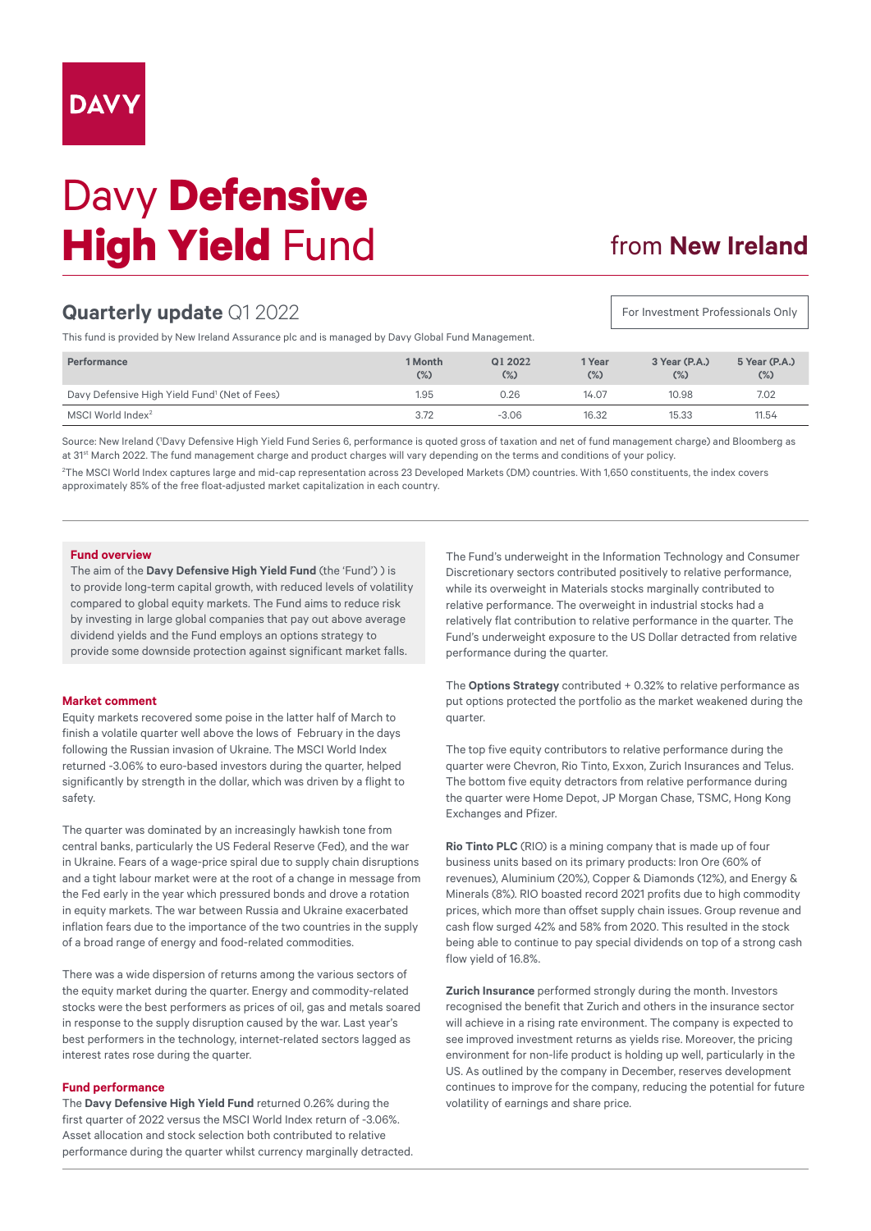# Davy **Defensive High Yield Fund**

## from **New Ireland**

For Investment Professionals Only

## **Quarterly update** Q1 2022

This fund is provided by New Ireland Assurance plc and is managed by Davy Global Fund Management.

| Performance                                               | 1 Month<br>$(\%)$ | Q1 2022<br>$(\%)$ | 1 Year<br>$(\%)$ | 3 Year (P.A.)<br>$(\%)$ | 5 Year (P.A.)<br>$(\%)$ |
|-----------------------------------------------------------|-------------------|-------------------|------------------|-------------------------|-------------------------|
| Davy Defensive High Yield Fund <sup>1</sup> (Net of Fees) | 1.95              | 0.26              | 14.07            | 10.98                   | 7.02                    |
| MSCI World Index <sup>2</sup>                             | 3.72              | $-3.06$           | 16.32            | 15.33                   | 11.54                   |

Source: New Ireland (1 Davy Defensive High Yield Fund Series 6, performance is quoted gross of taxation and net of fund management charge) and Bloomberg as at 31st March 2022. The fund management charge and product charges will vary depending on the terms and conditions of your policy. 2 The MSCI World Index captures large and mid-cap representation across 23 Developed Markets (DM) countries. With 1,650 constituents, the index covers approximately 85% of the free float-adjusted market capitalization in each country.

### **Fund overview**

The aim of the **Davy Defensive High Yield Fund** (the 'Fund') ) is to provide long-term capital growth, with reduced levels of volatility compared to global equity markets. The Fund aims to reduce risk by investing in large global companies that pay out above average dividend yields and the Fund employs an options strategy to provide some downside protection against significant market falls.

#### **Market comment**

Equity markets recovered some poise in the latter half of March to finish a volatile quarter well above the lows of February in the days following the Russian invasion of Ukraine. The MSCI World Index returned -3.06% to euro-based investors during the quarter, helped significantly by strength in the dollar, which was driven by a flight to safety.

The quarter was dominated by an increasingly hawkish tone from central banks, particularly the US Federal Reserve (Fed), and the war in Ukraine. Fears of a wage-price spiral due to supply chain disruptions and a tight labour market were at the root of a change in message from the Fed early in the year which pressured bonds and drove a rotation in equity markets. The war between Russia and Ukraine exacerbated inflation fears due to the importance of the two countries in the supply of a broad range of energy and food-related commodities.

There was a wide dispersion of returns among the various sectors of the equity market during the quarter. Energy and commodity-related stocks were the best performers as prices of oil, gas and metals soared in response to the supply disruption caused by the war. Last year's best performers in the technology, internet-related sectors lagged as interest rates rose during the quarter.

#### **Fund performance**

The **Davy Defensive High Yield Fund** returned 0.26% during the first quarter of 2022 versus the MSCI World Index return of -3.06%. Asset allocation and stock selection both contributed to relative performance during the quarter whilst currency marginally detracted.

The Fund's underweight in the Information Technology and Consumer Discretionary sectors contributed positively to relative performance, while its overweight in Materials stocks marginally contributed to relative performance. The overweight in industrial stocks had a relatively flat contribution to relative performance in the quarter. The Fund's underweight exposure to the US Dollar detracted from relative performance during the quarter.

The **Options Strategy** contributed + 0.32% to relative performance as put options protected the portfolio as the market weakened during the quarter.

The top five equity contributors to relative performance during the quarter were Chevron, Rio Tinto, Exxon, Zurich Insurances and Telus. The bottom five equity detractors from relative performance during the quarter were Home Depot, JP Morgan Chase, TSMC, Hong Kong Exchanges and Pfizer.

**Rio Tinto PLC** (RIO) is a mining company that is made up of four business units based on its primary products: Iron Ore (60% of revenues), Aluminium (20%), Copper & Diamonds (12%), and Energy & Minerals (8%). RIO boasted record 2021 profits due to high commodity prices, which more than offset supply chain issues. Group revenue and cash flow surged 42% and 58% from 2020. This resulted in the stock being able to continue to pay special dividends on top of a strong cash flow yield of 16.8%.

**Zurich Insurance** performed strongly during the month. Investors recognised the benefit that Zurich and others in the insurance sector will achieve in a rising rate environment. The company is expected to see improved investment returns as yields rise. Moreover, the pricing environment for non-life product is holding up well, particularly in the US. As outlined by the company in December, reserves development continues to improve for the company, reducing the potential for future volatility of earnings and share price.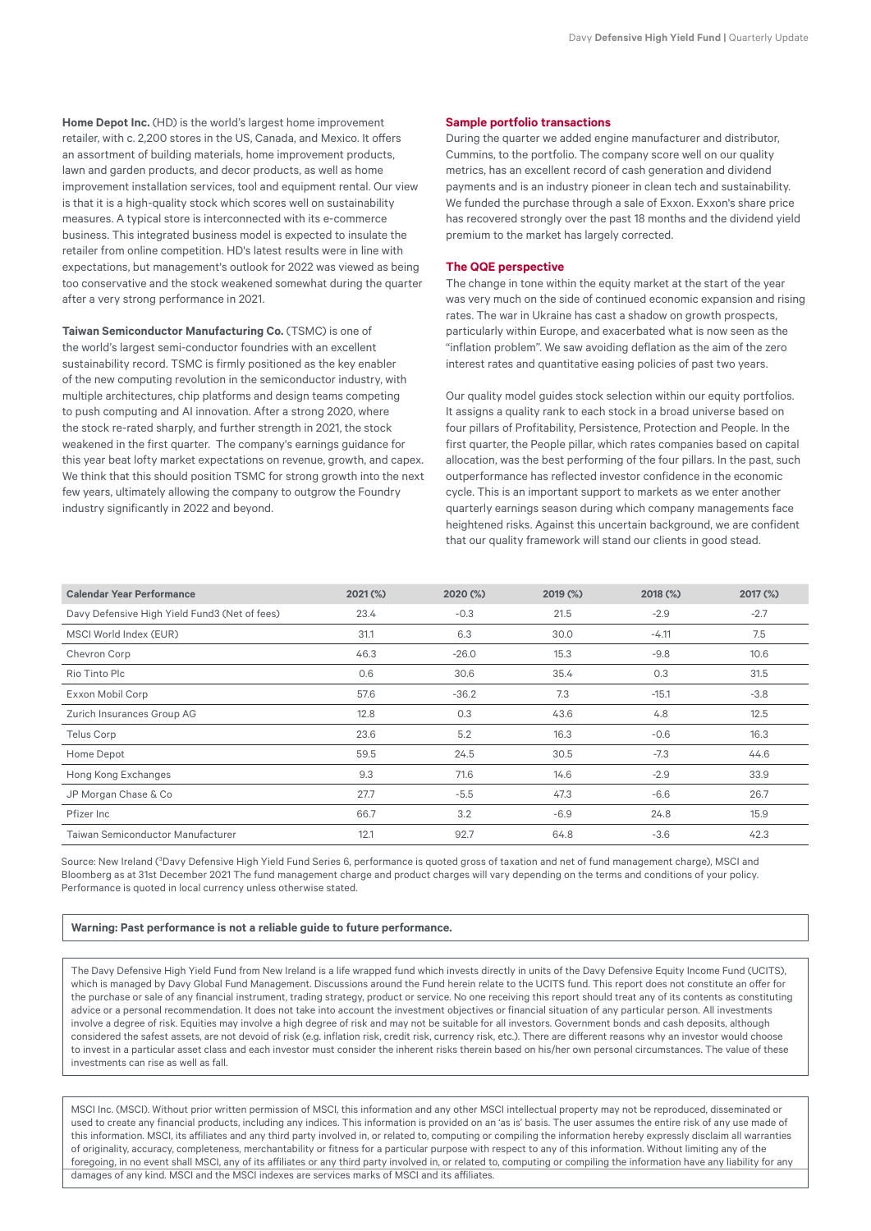**Home Depot Inc.** (HD) is the world's largest home improvement retailer, with c. 2,200 stores in the US, Canada, and Mexico. It offers an assortment of building materials, home improvement products, lawn and garden products, and decor products, as well as home improvement installation services, tool and equipment rental. Our view is that it is a high-quality stock which scores well on sustainability measures. A typical store is interconnected with its e-commerce business. This integrated business model is expected to insulate the retailer from online competition. HD's latest results were in line with expectations, but management's outlook for 2022 was viewed as being too conservative and the stock weakened somewhat during the quarter after a very strong performance in 2021.

**Taiwan Semiconductor Manufacturing Co.** (TSMC) is one of the world's largest semi-conductor foundries with an excellent sustainability record. TSMC is firmly positioned as the key enabler of the new computing revolution in the semiconductor industry, with multiple architectures, chip platforms and design teams competing to push computing and AI innovation. After a strong 2020, where the stock re-rated sharply, and further strength in 2021, the stock weakened in the first quarter. The company's earnings guidance for this year beat lofty market expectations on revenue, growth, and capex. We think that this should position TSMC for strong growth into the next few years, ultimately allowing the company to outgrow the Foundry industry significantly in 2022 and beyond.

#### **Sample portfolio transactions**

During the quarter we added engine manufacturer and distributor, Cummins, to the portfolio. The company score well on our quality metrics, has an excellent record of cash generation and dividend payments and is an industry pioneer in clean tech and sustainability. We funded the purchase through a sale of Exxon. Exxon's share price has recovered strongly over the past 18 months and the dividend yield premium to the market has largely corrected.

#### **The QQE perspective**

The change in tone within the equity market at the start of the year was very much on the side of continued economic expansion and rising rates. The war in Ukraine has cast a shadow on growth prospects, particularly within Europe, and exacerbated what is now seen as the "inflation problem". We saw avoiding deflation as the aim of the zero interest rates and quantitative easing policies of past two years.

Our quality model guides stock selection within our equity portfolios. It assigns a quality rank to each stock in a broad universe based on four pillars of Profitability, Persistence, Protection and People. In the first quarter, the People pillar, which rates companies based on capital allocation, was the best performing of the four pillars. In the past, such outperformance has reflected investor confidence in the economic cycle. This is an important support to markets as we enter another quarterly earnings season during which company managements face heightened risks. Against this uncertain background, we are confident that our quality framework will stand our clients in good stead.

| <b>Calendar Year Performance</b>              | 2021 (%) | 2020 (%) | 2019 (%) | 2018 (%) | 2017 (%) |
|-----------------------------------------------|----------|----------|----------|----------|----------|
| Davy Defensive High Yield Fund3 (Net of fees) | 23.4     | $-0.3$   | 21.5     | $-2.9$   | $-2.7$   |
| MSCI World Index (EUR)                        | 31.1     | 6.3      | 30.0     | $-4.11$  | 7.5      |
| Chevron Corp                                  | 46.3     | $-26.0$  | 15.3     | $-9.8$   | 10.6     |
| Rio Tinto Plc                                 | 0.6      | 30.6     | 35.4     | 0.3      | 31.5     |
| Exxon Mobil Corp                              | 57.6     | $-36.2$  | 7.3      | $-15.1$  | $-3.8$   |
| Zurich Insurances Group AG                    | 12.8     | 0.3      | 43.6     | 4.8      | 12.5     |
| <b>Telus Corp</b>                             | 23.6     | 5.2      | 16.3     | $-0.6$   | 16.3     |
| Home Depot                                    | 59.5     | 24.5     | 30.5     | $-7.3$   | 44.6     |
| Hong Kong Exchanges                           | 9.3      | 71.6     | 14.6     | $-2.9$   | 33.9     |
| JP Morgan Chase & Co                          | 27.7     | $-5.5$   | 47.3     | $-6.6$   | 26.7     |
| Pfizer Inc                                    | 66.7     | 3.2      | $-6.9$   | 24.8     | 15.9     |
| Taiwan Semiconductor Manufacturer             | 12.1     | 92.7     | 64.8     | $-3.6$   | 42.3     |

Source: New Ireland (<sup>3</sup>Davy Defensive High Yield Fund Series 6, performance is quoted gross of taxation and net of fund management charge), MSCI and Bloomberg as at 31st December 2021 The fund management charge and product charges will vary depending on the terms and conditions of your policy. Performance is quoted in local currency unless otherwise stated.

#### **Warning: Past performance is not a reliable guide to future performance.**

The Davy Defensive High Yield Fund from New Ireland is a life wrapped fund which invests directly in units of the Davy Defensive Equity Income Fund (UCITS), which is managed by Davy Global Fund Management. Discussions around the Fund herein relate to the UCITS fund. This report does not constitute an offer for the purchase or sale of any financial instrument, trading strategy, product or service. No one receiving this report should treat any of its contents as constituting advice or a personal recommendation. It does not take into account the investment objectives or financial situation of any particular person. All investments involve a degree of risk. Equities may involve a high degree of risk and may not be suitable for all investors. Government bonds and cash deposits, although considered the safest assets, are not devoid of risk (e.g. inflation risk, credit risk, currency risk, etc.). There are different reasons why an investor would choose to invest in a particular asset class and each investor must consider the inherent risks therein based on his/her own personal circumstances. The value of these investments can rise as well as fall.

MSCI Inc. (MSCI). Without prior written permission of MSCI, this information and any other MSCI intellectual property may not be reproduced, disseminated or used to create any financial products, including any indices. This information is provided on an 'as is' basis. The user assumes the entire risk of any use made of this information. MSCI, its affiliates and any third party involved in, or related to, computing or compiling the information hereby expressly disclaim all warranties of originality, accuracy, completeness, merchantability or fitness for a particular purpose with respect to any of this information. Without limiting any of the foregoing, in no event shall MSCI, any of its affiliates or any third party involved in, or related to, computing or compiling the information have any liability for any damages of any kind. MSCI and the MSCI indexes are services marks of MSCI and its affiliates.